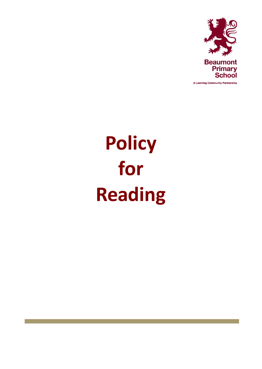

A Learning Community Partnership

# **Policy for Reading**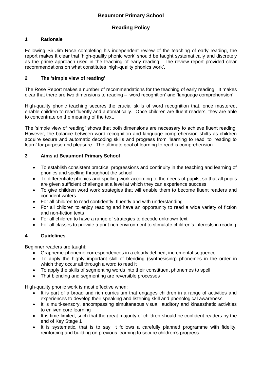# **Reading Policy**

### **1 Rationale**

Following Sir Jim Rose completing his independent review of the teaching of early reading, the report makes it clear that 'high-quality phonic work' should be taught systematically and discretely as the prime approach used in the teaching of early reading. The review report provided clear recommendations on what constitutes 'high-quality phonics work'.

#### **2 The 'simple view of reading'**

The Rose Report makes a number of recommendations for the teaching of early reading. It makes clear that there are two dimensions to reading – 'word recognition' and 'language comprehension'.

High-quality phonic teaching secures the crucial skills of word recognition that, once mastered, enable children to read fluently and automatically. Once children are fluent readers, they are able to concentrate on the meaning of the text.

The 'simple view of reading' shows that both dimensions are necessary to achieve fluent reading. However, the balance between word recognition and language comprehension shifts as children acquire secure and automatic decoding skills and progress from 'learning to read' to 'reading to learn' for purpose and pleasure. The ultimate goal of learning to read is comprehension.

#### **3 Aims at Beaumont Primary School**

- To establish consistent practice, progressions and continuity in the teaching and learning of phonics and spelling throughout the school
- To differentiate phonics and spelling work according to the needs of pupils, so that all pupils are given sufficient challenge at a level at which they can experience success
- To give children word work strategies that will enable them to become fluent readers and confident writers
- For all children to read confidently, fluently and with understanding
- For all children to enjoy reading and have an opportunity to read a wide variety of fiction and non-fiction texts
- For all children to have a range of strategies to decode unknown text
- For all classes to provide a print rich environment to stimulate children's interests in reading

#### **4 Guidelines**

Beginner readers are taught:

- Grapheme-phoneme correspondences in a clearly defined, incremental sequence
- To apply the highly important skill of blending (synthesising) phonemes in the order in which they occur all through a word to read it
- To apply the skills of segmenting words into their constituent phonemes to spell
- That blending and segmenting are reversible processes

High-quality phonic work is most effective when:

- It is part of a broad and rich curriculum that engages children in a range of activities and experiences to develop their speaking and listening skill and phonological awareness
- It is multi-sensory, encompassing simultaneous visual, auditory and kinaesthetic activities to enliven core learning
- It is time-limited, such that the great majority of children should be confident readers by the end of Key Stage 1
- It is systematic, that is to say, it follows a carefully planned programme with fidelity, reinforcing and building on previous learning to secure children's progress